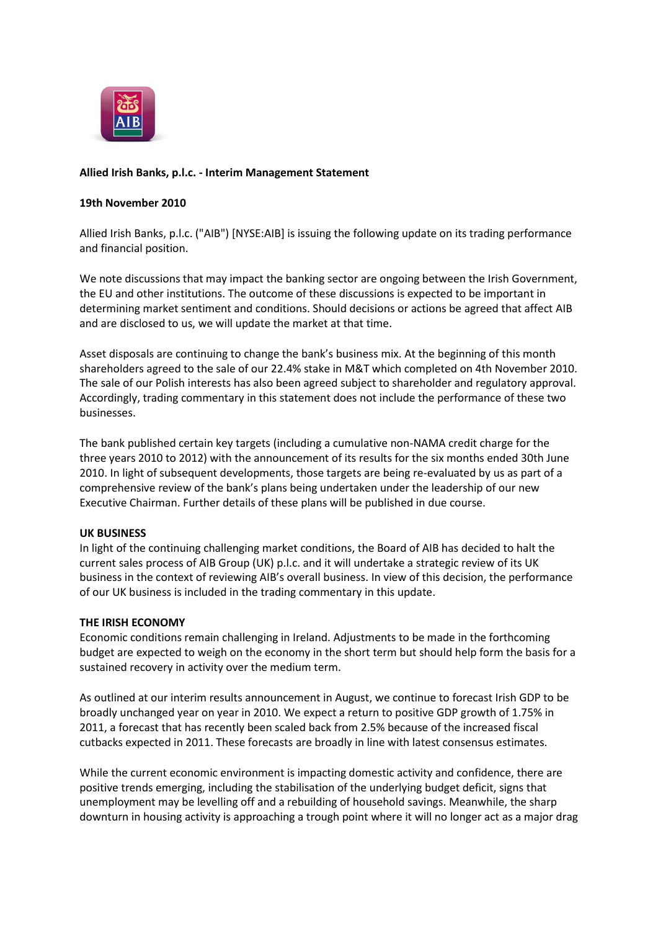

# **Allied Irish Banks, p.l.c. - Interim Management Statement**

#### **19th November 2010**

Allied Irish Banks, p.l.c. ("AIB") [NYSE:AIB] is issuing the following update on its trading performance and financial position.

We note discussions that may impact the banking sector are ongoing between the Irish Government, the EU and other institutions. The outcome of these discussions is expected to be important in determining market sentiment and conditions. Should decisions or actions be agreed that affect AIB and are disclosed to us, we will update the market at that time.

Asset disposals are continuing to change the bank's business mix. At the beginning of this month shareholders agreed to the sale of our 22.4% stake in M&T which completed on 4th November 2010. The sale of our Polish interests has also been agreed subject to shareholder and regulatory approval. Accordingly, trading commentary in this statement does not include the performance of these two businesses.

The bank published certain key targets (including a cumulative non-NAMA credit charge for the three years 2010 to 2012) with the announcement of its results for the six months ended 30th June 2010. In light of subsequent developments, those targets are being re-evaluated by us as part of a comprehensive review of the bank's plans being undertaken under the leadership of our new Executive Chairman. Further details of these plans will be published in due course.

## **UK BUSINESS**

In light of the continuing challenging market conditions, the Board of AIB has decided to halt the current sales process of AIB Group (UK) p.l.c. and it will undertake a strategic review of its UK business in the context of reviewing AIB's overall business. In view of this decision, the performance of our UK business is included in the trading commentary in this update.

## **THE IRISH ECONOMY**

Economic conditions remain challenging in Ireland. Adjustments to be made in the forthcoming budget are expected to weigh on the economy in the short term but should help form the basis for a sustained recovery in activity over the medium term.

As outlined at our interim results announcement in August, we continue to forecast Irish GDP to be broadly unchanged year on year in 2010. We expect a return to positive GDP growth of 1.75% in 2011, a forecast that has recently been scaled back from 2.5% because of the increased fiscal cutbacks expected in 2011. These forecasts are broadly in line with latest consensus estimates.

While the current economic environment is impacting domestic activity and confidence, there are positive trends emerging, including the stabilisation of the underlying budget deficit, signs that unemployment may be levelling off and a rebuilding of household savings. Meanwhile, the sharp downturn in housing activity is approaching a trough point where it will no longer act as a major drag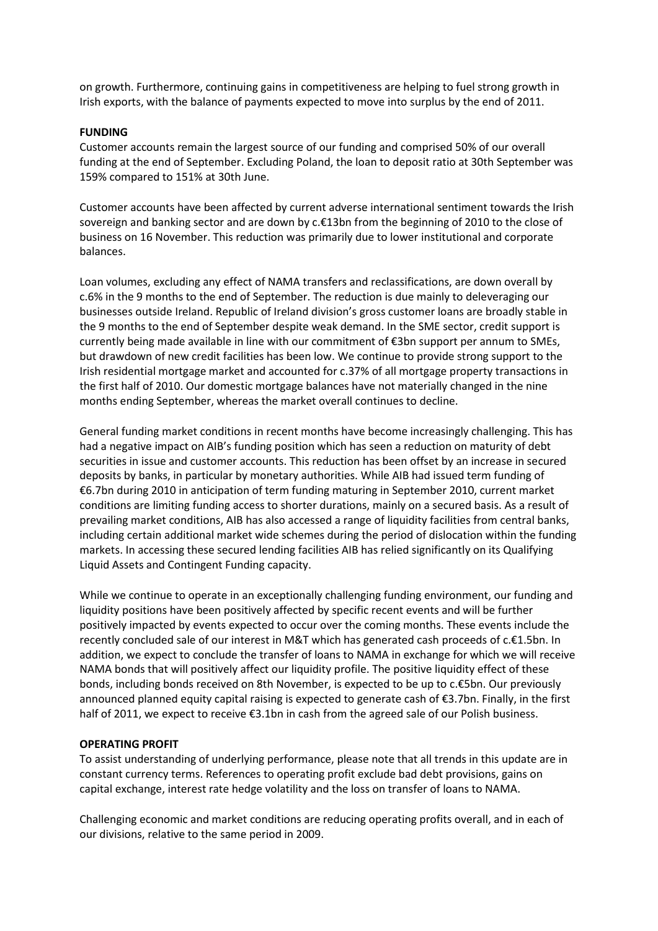on growth. Furthermore, continuing gains in competitiveness are helping to fuel strong growth in Irish exports, with the balance of payments expected to move into surplus by the end of 2011.

#### **FUNDING**

Customer accounts remain the largest source of our funding and comprised 50% of our overall funding at the end of September. Excluding Poland, the loan to deposit ratio at 30th September was 159% compared to 151% at 30th June.

Customer accounts have been affected by current adverse international sentiment towards the Irish sovereign and banking sector and are down by c.€13bn from the beginning of 2010 to the close of business on 16 November. This reduction was primarily due to lower institutional and corporate balances.

Loan volumes, excluding any effect of NAMA transfers and reclassifications, are down overall by c.6% in the 9 months to the end of September. The reduction is due mainly to deleveraging our businesses outside Ireland. Republic of Ireland division's gross customer loans are broadly stable in the 9 months to the end of September despite weak demand. In the SME sector, credit support is currently being made available in line with our commitment of €3bn support per annum to SMEs, but drawdown of new credit facilities has been low. We continue to provide strong support to the Irish residential mortgage market and accounted for c.37% of all mortgage property transactions in the first half of 2010. Our domestic mortgage balances have not materially changed in the nine months ending September, whereas the market overall continues to decline.

General funding market conditions in recent months have become increasingly challenging. This has had a negative impact on AIB's funding position which has seen a reduction on maturity of debt securities in issue and customer accounts. This reduction has been offset by an increase in secured deposits by banks, in particular by monetary authorities. While AIB had issued term funding of €6.7bn during 2010 in anticipation of term funding maturing in September 2010, current market conditions are limiting funding access to shorter durations, mainly on a secured basis. As a result of prevailing market conditions, AIB has also accessed a range of liquidity facilities from central banks, including certain additional market wide schemes during the period of dislocation within the funding markets. In accessing these secured lending facilities AIB has relied significantly on its Qualifying Liquid Assets and Contingent Funding capacity.

While we continue to operate in an exceptionally challenging funding environment, our funding and liquidity positions have been positively affected by specific recent events and will be further positively impacted by events expected to occur over the coming months. These events include the recently concluded sale of our interest in M&T which has generated cash proceeds of c.€1.5bn. In addition, we expect to conclude the transfer of loans to NAMA in exchange for which we will receive NAMA bonds that will positively affect our liquidity profile. The positive liquidity effect of these bonds, including bonds received on 8th November, is expected to be up to c.€5bn. Our previously announced planned equity capital raising is expected to generate cash of €3.7bn. Finally, in the first half of 2011, we expect to receive €3.1bn in cash from the agreed sale of our Polish business.

#### **OPERATING PROFIT**

To assist understanding of underlying performance, please note that all trends in this update are in constant currency terms. References to operating profit exclude bad debt provisions, gains on capital exchange, interest rate hedge volatility and the loss on transfer of loans to NAMA.

Challenging economic and market conditions are reducing operating profits overall, and in each of our divisions, relative to the same period in 2009.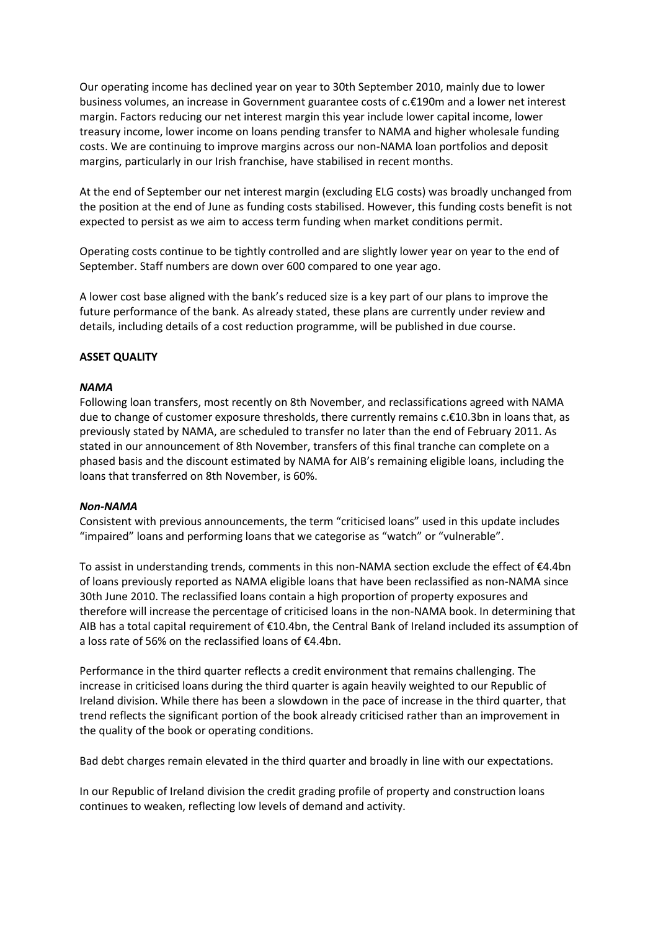Our operating income has declined year on year to 30th September 2010, mainly due to lower business volumes, an increase in Government guarantee costs of c.€190m and a lower net interest margin. Factors reducing our net interest margin this year include lower capital income, lower treasury income, lower income on loans pending transfer to NAMA and higher wholesale funding costs. We are continuing to improve margins across our non-NAMA loan portfolios and deposit margins, particularly in our Irish franchise, have stabilised in recent months.

At the end of September our net interest margin (excluding ELG costs) was broadly unchanged from the position at the end of June as funding costs stabilised. However, this funding costs benefit is not expected to persist as we aim to access term funding when market conditions permit.

Operating costs continue to be tightly controlled and are slightly lower year on year to the end of September. Staff numbers are down over 600 compared to one year ago.

A lower cost base aligned with the bank's reduced size is a key part of our plans to improve the future performance of the bank. As already stated, these plans are currently under review and details, including details of a cost reduction programme, will be published in due course.

## **ASSET QUALITY**

# *NAMA*

Following loan transfers, most recently on 8th November, and reclassifications agreed with NAMA due to change of customer exposure thresholds, there currently remains c.€10.3bn in loans that, as previously stated by NAMA, are scheduled to transfer no later than the end of February 2011. As stated in our announcement of 8th November, transfers of this final tranche can complete on a phased basis and the discount estimated by NAMA for AIB's remaining eligible loans, including the loans that transferred on 8th November, is 60%.

## *Non-NAMA*

Consistent with previous announcements, the term "criticised loans" used in this update includes "impaired" loans and performing loans that we categorise as "watch" or "vulnerable".

To assist in understanding trends, comments in this non-NAMA section exclude the effect of €4.4bn of loans previously reported as NAMA eligible loans that have been reclassified as non-NAMA since 30th June 2010. The reclassified loans contain a high proportion of property exposures and therefore will increase the percentage of criticised loans in the non-NAMA book. In determining that AIB has a total capital requirement of €10.4bn, the Central Bank of Ireland included its assumption of a loss rate of 56% on the reclassified loans of €4.4bn.

Performance in the third quarter reflects a credit environment that remains challenging. The increase in criticised loans during the third quarter is again heavily weighted to our Republic of Ireland division. While there has been a slowdown in the pace of increase in the third quarter, that trend reflects the significant portion of the book already criticised rather than an improvement in the quality of the book or operating conditions.

Bad debt charges remain elevated in the third quarter and broadly in line with our expectations.

In our Republic of Ireland division the credit grading profile of property and construction loans continues to weaken, reflecting low levels of demand and activity.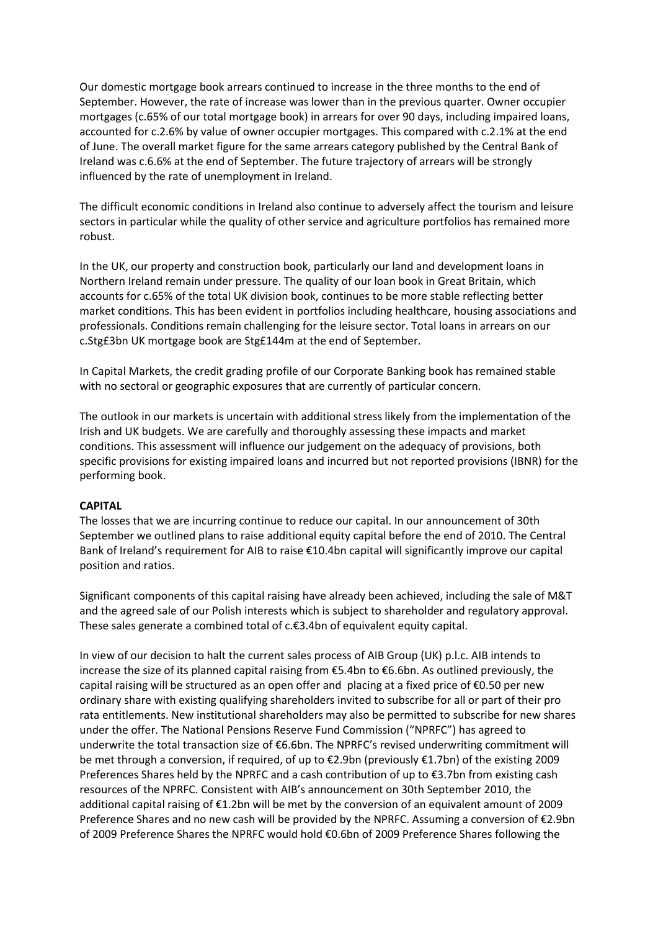Our domestic mortgage book arrears continued to increase in the three months to the end of September. However, the rate of increase was lower than in the previous quarter. Owner occupier mortgages (c.65% of our total mortgage book) in arrears for over 90 days, including impaired loans, accounted for c.2.6% by value of owner occupier mortgages. This compared with c.2.1% at the end of June. The overall market figure for the same arrears category published by the Central Bank of Ireland was c.6.6% at the end of September. The future trajectory of arrears will be strongly influenced by the rate of unemployment in Ireland.

The difficult economic conditions in Ireland also continue to adversely affect the tourism and leisure sectors in particular while the quality of other service and agriculture portfolios has remained more robust.

In the UK, our property and construction book, particularly our land and development loans in Northern Ireland remain under pressure. The quality of our loan book in Great Britain, which accounts for c.65% of the total UK division book, continues to be more stable reflecting better market conditions. This has been evident in portfolios including healthcare, housing associations and professionals. Conditions remain challenging for the leisure sector. Total loans in arrears on our c.Stg£3bn UK mortgage book are Stg£144m at the end of September.

In Capital Markets, the credit grading profile of our Corporate Banking book has remained stable with no sectoral or geographic exposures that are currently of particular concern.

The outlook in our markets is uncertain with additional stress likely from the implementation of the Irish and UK budgets. We are carefully and thoroughly assessing these impacts and market conditions. This assessment will influence our judgement on the adequacy of provisions, both specific provisions for existing impaired loans and incurred but not reported provisions (IBNR) for the performing book.

## **CAPITAL**

The losses that we are incurring continue to reduce our capital. In our announcement of 30th September we outlined plans to raise additional equity capital before the end of 2010. The Central Bank of Ireland's requirement for AIB to raise €10.4bn capital will significantly improve our capital position and ratios.

Significant components of this capital raising have already been achieved, including the sale of M&T and the agreed sale of our Polish interests which is subject to shareholder and regulatory approval. These sales generate a combined total of c.€3.4bn of equivalent equity capital.

In view of our decision to halt the current sales process of AIB Group (UK) p.l.c. AIB intends to increase the size of its planned capital raising from €5.4bn to €6.6bn. As outlined previously, the capital raising will be structured as an open offer and placing at a fixed price of  $\epsilon$ 0.50 per new ordinary share with existing qualifying shareholders invited to subscribe for all or part of their pro rata entitlements. New institutional shareholders may also be permitted to subscribe for new shares under the offer. The National Pensions Reserve Fund Commission ("NPRFC") has agreed to underwrite the total transaction size of €6.6bn. The NPRFC's revised underwriting commitment will be met through a conversion, if required, of up to €2.9bn (previously €1.7bn) of the existing 2009 Preferences Shares held by the NPRFC and a cash contribution of up to €3.7bn from existing cash resources of the NPRFC. Consistent with AIB's announcement on 30th September 2010, the additional capital raising of €1.2bn will be met by the conversion of an equivalent amount of 2009 Preference Shares and no new cash will be provided by the NPRFC. Assuming a conversion of  $\epsilon$ 2.9bn of 2009 Preference Shares the NPRFC would hold €0.6bn of 2009 Preference Shares following the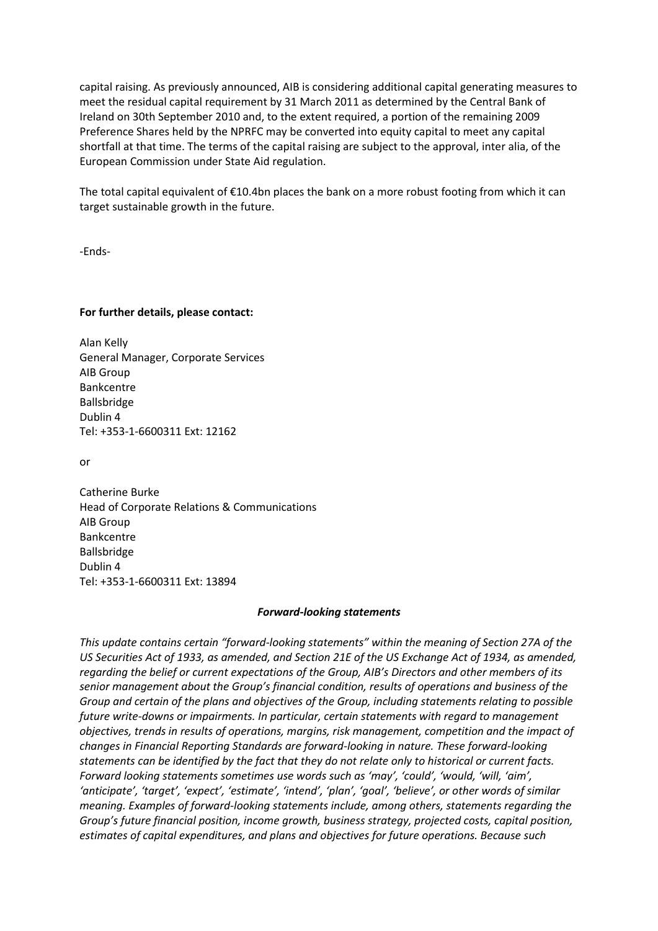capital raising. As previously announced, AIB is considering additional capital generating measures to meet the residual capital requirement by 31 March 2011 as determined by the Central Bank of Ireland on 30th September 2010 and, to the extent required, a portion of the remaining 2009 Preference Shares held by the NPRFC may be converted into equity capital to meet any capital shortfall at that time. The terms of the capital raising are subject to the approval, inter alia, of the European Commission under State Aid regulation.

The total capital equivalent of  $\epsilon$ 10.4bn places the bank on a more robust footing from which it can target sustainable growth in the future.

-Ends-

## **For further details, please contact:**

Alan Kelly General Manager, Corporate Services AIB Group Bankcentre Ballsbridge Dublin 4 Tel: +353-1-6600311 Ext: 12162

or

Catherine Burke Head of Corporate Relations & Communications AIB Group Bankcentre Ballsbridge Dublin 4 Tel: +353-1-6600311 Ext: 13894

#### *Forward-looking statements*

*This update contains certain "forward-looking statements" within the meaning of Section 27A of the US Securities Act of 1933, as amended, and Section 21E of the US Exchange Act of 1934, as amended, regarding the belief or current expectations of the Group, AIB's Directors and other members of its senior management about the Group's financial condition, results of operations and business of the Group and certain of the plans and objectives of the Group, including statements relating to possible future write-downs or impairments. In particular, certain statements with regard to management objectives, trends in results of operations, margins, risk management, competition and the impact of changes in Financial Reporting Standards are forward-looking in nature. These forward-looking statements can be identified by the fact that they do not relate only to historical or current facts. Forward looking statements sometimes use words such as 'may', 'could', 'would, 'will, 'aim', 'anticipate', 'target', 'expect', 'estimate', 'intend', 'plan', 'goal', 'believe', or other words of similar meaning. Examples of forward-looking statements include, among others, statements regarding the Group's future financial position, income growth, business strategy, projected costs, capital position, estimates of capital expenditures, and plans and objectives for future operations. Because such*